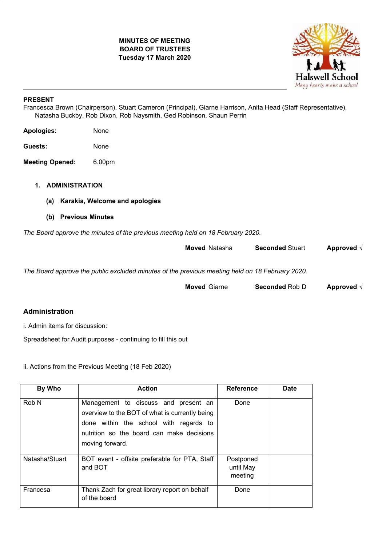# **MINUTES OF MEETING BOARD OF TRUSTEES Tuesday 17 March 2020**



## **PRESENT**

Francesca Brown (Chairperson), Stuart Cameron (Principal), Giarne Harrison, Anita Head (Staff Representative), Natasha Buckby, Rob Dixon, Rob Naysmith, Ged Robinson, Shaun Perrin

| <b>Apologies:</b> | None |
|-------------------|------|
|                   |      |

**Guests:** None

**Meeting Opened:** 6.00pm

# **1. ADMINISTRATION**

- **(a) Karakia, Welcome and apologies**
- **(b) Previous Minutes**

*The Board approve the minutes of the previous meeting held on 18 February 2020.*

| Approved $\sqrt{}$ | <b>Seconded Stuart</b> | <b>Moved Natasha</b>                                                                            |
|--------------------|------------------------|-------------------------------------------------------------------------------------------------|
|                    |                        | The Board approve the public excluded minutes of the previous meeting held on 18 February 2020. |
| Approved $\sqrt{}$ | <b>Seconded Rob D</b>  | <b>Moved Giarne</b>                                                                             |

# **Administration**

i. Admin items for discussion:

Spreadsheet for Audit purposes - continuing to fill this out

ii. Actions from the Previous Meeting (18 Feb 2020)

| By Who           | <b>Action</b>                                                                                                                                                                                    | <b>Reference</b>                  | <b>Date</b> |
|------------------|--------------------------------------------------------------------------------------------------------------------------------------------------------------------------------------------------|-----------------------------------|-------------|
| Rob <sub>N</sub> | Management to discuss and present an<br>overview to the BOT of what is currently being<br>done within the school with regards to<br>nutrition so the board can make decisions<br>moving forward. | Done                              |             |
| Natasha/Stuart   | BOT event - offsite preferable for PTA, Staff<br>and BOT                                                                                                                                         | Postponed<br>until May<br>meeting |             |
| Francesa         | Thank Zach for great library report on behalf<br>of the board                                                                                                                                    | Done                              |             |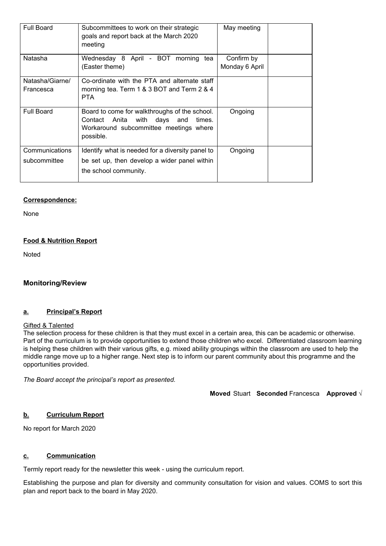| <b>Full Board</b>              | Subcommittees to work on their strategic<br>goals and report back at the March 2020<br>meeting                                                | May meeting                  |  |
|--------------------------------|-----------------------------------------------------------------------------------------------------------------------------------------------|------------------------------|--|
| Natasha                        | Wednesday 8 April - BOT morning tea<br>(Easter theme)                                                                                         | Confirm by<br>Monday 6 April |  |
| Natasha/Giarne/<br>Francesca   | Co-ordinate with the PTA and alternate staff<br>morning tea. Term 1 & 3 BOT and Term 2 & 4<br><b>PTA</b>                                      |                              |  |
| <b>Full Board</b>              | Board to come for walkthroughs of the school.<br>Contact Anita with days and<br>times.<br>Workaround subcommittee meetings where<br>possible. | Ongoing                      |  |
| Communications<br>subcommittee | Identify what is needed for a diversity panel to<br>be set up, then develop a wider panel within<br>the school community.                     | Ongoing                      |  |

### **Correspondence:**

None

### **Food & Nutrition Report**

**Noted** 

### **Monitoring/Review**

# **a. Principal's Report**

#### **Gifted & Talented**

The selection process for these children is that they must excel in a certain area, this can be academic or otherwise. Part of the curriculum is to provide opportunities to extend those children who excel. Differentiated classroom learning is helping these children with their various gifts, e.g. mixed ability groupings within the classroom are used to help the middle range move up to a higher range. Next step is to inform our parent community about this programme and the opportunities provided.

*The Board accept the principal's report as presented.*

**Moved** Stuart **Seconded** Francesca **Approved** √

### **b. Curriculum Report**

No report for March 2020

## **c. Communication**

Termly report ready for the newsletter this week - using the curriculum report.

Establishing the purpose and plan for diversity and community consultation for vision and values. COMS to sort this plan and report back to the board in May 2020.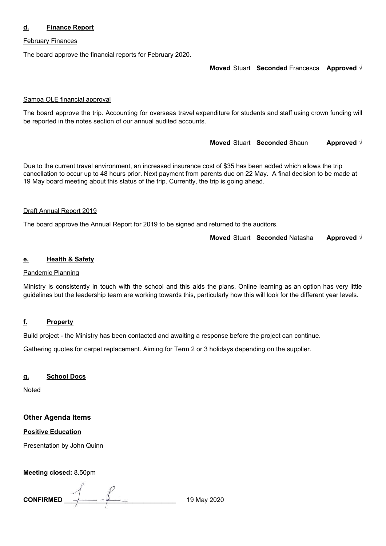## **d. Finance Report**

### February Finances

The board approve the financial reports for February 2020.

**Moved** Stuart **Seconded** Francesca **Approved** √

#### Samoa OLE financial approval

The board approve the trip. Accounting for overseas travel expenditure for students and staff using crown funding will be reported in the notes section of our annual audited accounts.

**Moved** Stuart **Seconded** Shaun **Approved** √

Due to the current travel environment, an increased insurance cost of \$35 has been added which allows the trip cancellation to occur up to 48 hours prior. Next payment from parents due on 22 May. A final decision to be made at 19 May board meeting about this status of the trip. Currently, the trip is going ahead.

#### Draft Annual Report 2019

The board approve the Annual Report for 2019 to be signed and returned to the auditors.

**Moved** Stuart **Seconded** Natasha **Approved** √

#### **e. Health & Safety**

#### Pandemic Planning

Ministry is consistently in touch with the school and this aids the plans. Online learning as an option has very little guidelines but the leadership team are working towards this, particularly how this will look for the different year levels.

### **f. Property**

Build project - the Ministry has been contacted and awaiting a response before the project can continue.

Gathering quotes for carpet replacement. Aiming for Term 2 or 3 holidays depending on the supplier.

#### **g. School Docs**

Noted

### **Other Agenda Items**

## **Positive Education**

Presentation by John Quinn

**Meeting closed:** 8.50pm

**CONFIRMED \_\_\_\_\_\_\_\_\_\_\_\_\_\_\_\_\_\_\_\_\_\_\_\_\_\_\_\_\_\_\_** 19 May 2020